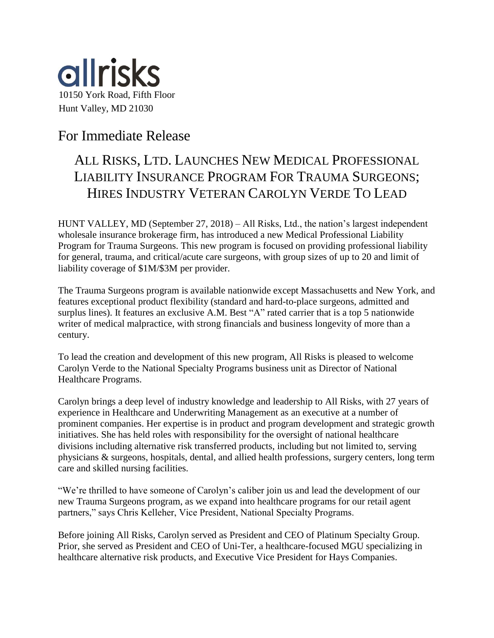

## For Immediate Release

## ALL RISKS, LTD. LAUNCHES NEW MEDICAL PROFESSIONAL LIABILITY INSURANCE PROGRAM FOR TRAUMA SURGEONS; HIRES INDUSTRY VETERAN CAROLYN VERDE TO LEAD

HUNT VALLEY, MD (September 27, 2018) – All Risks, Ltd., the nation's largest independent wholesale insurance brokerage firm, has introduced a new Medical Professional Liability Program for Trauma Surgeons. This new program is focused on providing professional liability for general, trauma, and critical/acute care surgeons, with group sizes of up to 20 and limit of liability coverage of \$1M/\$3M per provider.

The Trauma Surgeons program is available nationwide except Massachusetts and New York, and features exceptional product flexibility (standard and hard-to-place surgeons, admitted and surplus lines). It features an exclusive A.M. Best "A" rated carrier that is a top 5 nationwide writer of medical malpractice, with strong financials and business longevity of more than a century.

To lead the creation and development of this new program, All Risks is pleased to welcome Carolyn Verde to the National Specialty Programs business unit as Director of National Healthcare Programs.

Carolyn brings a deep level of industry knowledge and leadership to All Risks, with 27 years of experience in Healthcare and Underwriting Management as an executive at a number of prominent companies. Her expertise is in product and program development and strategic growth initiatives. She has held roles with responsibility for the oversight of national healthcare divisions including alternative risk transferred products, including but not limited to, serving physicians & surgeons, hospitals, dental, and allied health professions, surgery centers, long term care and skilled nursing facilities.

"We're thrilled to have someone of Carolyn's caliber join us and lead the development of our new Trauma Surgeons program, as we expand into healthcare programs for our retail agent partners," says Chris Kelleher, Vice President, National Specialty Programs.

Before joining All Risks, Carolyn served as President and CEO of Platinum Specialty Group. Prior, she served as President and CEO of Uni-Ter, a healthcare-focused MGU specializing in healthcare alternative risk products, and Executive Vice President for Hays Companies.